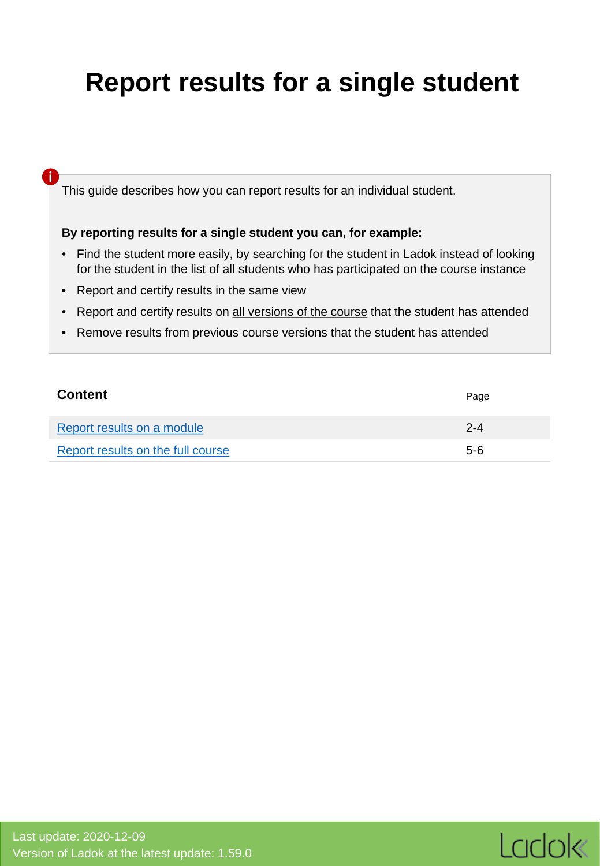# <span id="page-0-0"></span>**Report results for a single student**

This guide describes how you can report results for an individual student.

#### **By reporting results for a single student you can, for example:**

- Find the student more easily, by searching for the student in Ladok instead of looking for the student in the list of all students who has participated on the course instance
- Report and certify results in the same view

**i**

- Report and certify results on all versions of the course that the student has attended
- Remove results from previous course versions that the student has attended

| <b>Content</b>                    | Page    |
|-----------------------------------|---------|
| Report results on a module        | $2 - 4$ |
| Report results on the full course | $5-6$   |

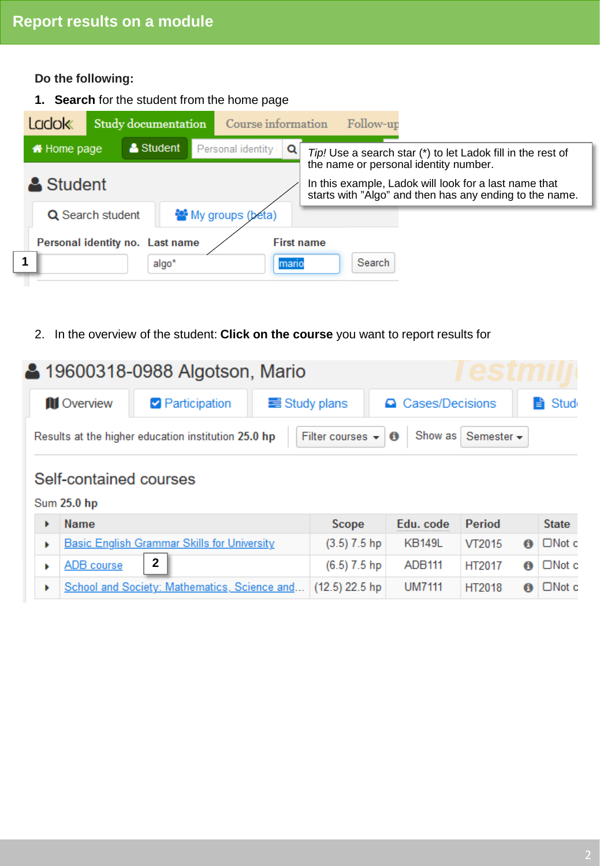**Do the following:**

**1. Search** for the student from the home page



2. In the overview of the student: **Click on the course** you want to report results for

|                     | 4 19600318-0988 Algotson, Mario                     |                      |                                                              |                    |
|---------------------|-----------------------------------------------------|----------------------|--------------------------------------------------------------|--------------------|
| <b>III</b> Overview | <b>Participation</b>                                | $\equiv$ Study plans | △ Cases/Decisions                                            | $\Rightarrow$ Stud |
|                     | Results at the higher education institution 25.0 hp |                      | Filter courses $\bullet$ <b>0</b> Show as Semester $\bullet$ |                    |

## Self-contained courses

**Sum 25.0 hp** 

| <b>Name</b>                                                 | <b>Scope</b>   | Edu. code     | ∣ Period | <b>State</b>              |
|-------------------------------------------------------------|----------------|---------------|----------|---------------------------|
| Basic English Grammar Skills for University                 | $(3.5)$ 7.5 hp | <b>KB149L</b> | VT2015   | $\bigcirc$ $\Box$ Not c   |
| $\overline{2}$<br>ADB course                                | $(6.5)$ 7.5 hp | ADB111        | HT2017   | $\bigcirc$   $\Box$ Not c |
| School and Society: Mathematics, Science and (12.5) 22.5 hp |                | <b>UM7111</b> | HT2018   | $\bigcirc$   $\Box$ Not c |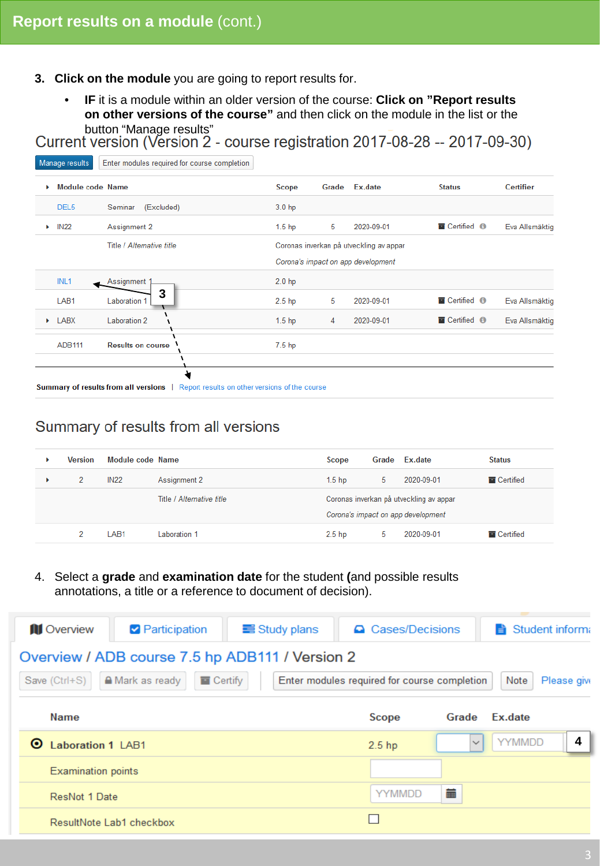- **3. Click on the module** you are going to report results for.
	- **IF** it is a module within an older version of the course: **Click on "Report results on other versions of the course"** and then click on the module in the list or the

button "Manage results"<br>Current version (Version 2 - course registration 2017-08-28 -- 2017-09-30)

| Þ. | Module code Name           |                           | Scope             | Grade | Ex.date                                 | <b>Status</b>      | <b>Certifier</b> |
|----|----------------------------|---------------------------|-------------------|-------|-----------------------------------------|--------------------|------------------|
|    | DEL <sub>5</sub>           | (Excluded)<br>Seminar     | 3.0 <sub>hp</sub> |       |                                         |                    |                  |
| Þ. | <b>IN22</b>                | Assignment 2              | 1.5 <sub>hp</sub> | -5    | 2020-09-01                              | Certified <b>O</b> | Eva Allsmäktig   |
|    |                            | Title / Alternative title |                   |       | Coronas inverkan på utveckling av appar |                    |                  |
|    |                            |                           |                   |       | Corona's impact on app development      |                    |                  |
|    | INL <sub>1</sub>           | Assignment 1              | 2.0 <sub>hp</sub> |       |                                         |                    |                  |
|    | LAB <sub>1</sub>           | 3<br>Laboration 1         | 2.5 <sub>hp</sub> | 5     | 2020-09-01                              | Certified <b>O</b> | Eva Allsmäktig   |
|    | $\blacktriangleright$ LABX | Laboration 2              | 1.5 <sub>hp</sub> | 4     | 2020-09-01                              | Certified <b>O</b> | Eva Allsmäktig   |
|    | ADB111                     | <b>Results on course</b>  | 7.5 <sub>hp</sub> |       |                                         |                    |                  |
|    |                            |                           |                   |       |                                         |                    |                  |

## Summary of results from all versions

| <b>Version</b> | Module code Name |                           | Scope                                   |   | Grade Ex.date | <b>Status</b>      |
|----------------|------------------|---------------------------|-----------------------------------------|---|---------------|--------------------|
| 2              | <b>IN22</b>      | Assignment 2              | 1.5 <sub>hp</sub>                       | 5 | 2020-09-01    | <b>T</b> Certified |
|                |                  | Title / Alternative title | Coronas inverkan på utveckling av appar |   |               |                    |
|                |                  |                           | Corona's impact on app development      |   |               |                    |
| 2              | LAB1             | Laboration 1              | 2.5 <sub>hp</sub>                       | 5 | 2020-09-01    | <b>E</b> Certified |

4. Select a **grade** and **examination date** for the student **(**and possible results annotations, a title or a reference to document of decision).

| <b>III</b> Overview<br><b>Participation</b>                | $\equiv$ Study plans | <b>Q</b> Cases/Decisions                     |              | Student informa<br>Ħ |
|------------------------------------------------------------|----------------------|----------------------------------------------|--------------|----------------------|
| Overview / ADB course 7.5 hp ADB111 / Version 2            |                      |                                              |              |                      |
| Save (Ctrl+S)<br>$\blacksquare$ Certify<br>A Mark as ready |                      | Enter modules required for course completion |              | Note<br>Please give  |
| <b>Name</b>                                                |                      | Scope                                        | Grade        | Ex.date              |
| <b>Laboration 1 LAB1</b><br>⊙                              |                      | 2.5 <sub>hp</sub>                            | $\checkmark$ | 4<br><b>YYMMDD</b>   |
| <b>Examination points</b>                                  |                      |                                              |              |                      |
| ResNot 1 Date                                              |                      | <b>YYMMDD</b>                                | m            |                      |
| ResultNote Lab1 checkbox                                   |                      |                                              |              |                      |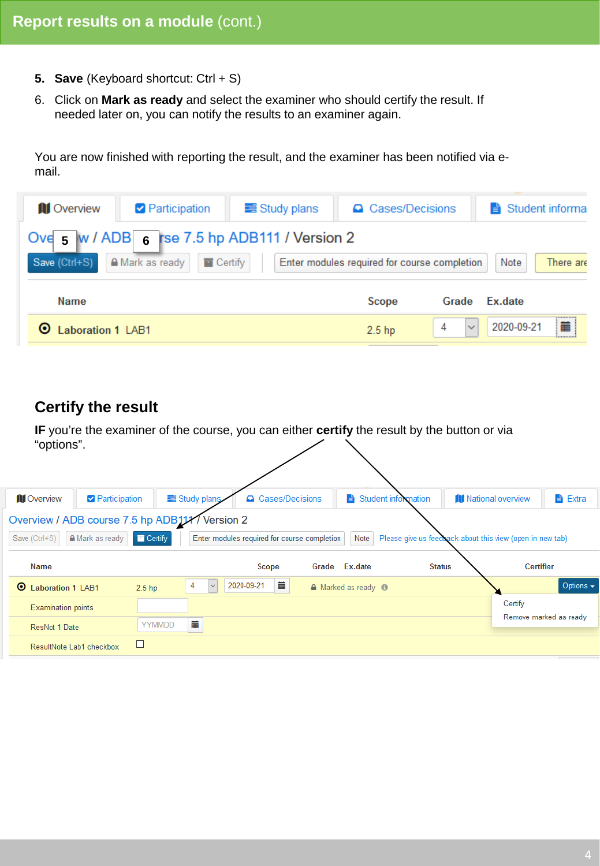- **5. Save** (Keyboard shortcut: Ctrl + S)
- 6. Click on **Mark as ready** and select the examiner who should certify the result. If needed later on, you can notify the results to an examiner again.

You are now finished with reporting the result, and the examiner has been notified via email.

| <b>III</b> Overview      | Participation<br>Study plans                                                                     |  | <b>△</b> Cases/Decisions                     |                   | Student informa   |
|--------------------------|--------------------------------------------------------------------------------------------------|--|----------------------------------------------|-------------------|-------------------|
| Save (Ctrl+S)            | Ove $_5$ W / ADB $_6$ rse 7.5 hp ADB111 / Version 2<br>A Mark as ready<br>$\blacksquare$ Certify |  | Enter modules required for course completion |                   | Note<br>There are |
| Name                     |                                                                                                  |  | Scope                                        | Grade             | Ex.date           |
| <b>Laboration 1 LAB1</b> |                                                                                                  |  | 2.5 <sub>hp</sub>                            | $\checkmark$<br>4 | 匾<br>2020-09-21   |

## **Certify the result**

**IF** you're the examiner of the course, you can either **certify** the result by the button or via "options".

| <b>III</b> Overview                            | Participation                     | Study plans       | △ Cases/Decisions                            |                                | Student information                                       | <b>III</b> National overview |                        | <b>A</b> Extra |  |
|------------------------------------------------|-----------------------------------|-------------------|----------------------------------------------|--------------------------------|-----------------------------------------------------------|------------------------------|------------------------|----------------|--|
| Overview / ADB course 7.5 hp ADB111/ Version 2 |                                   |                   |                                              |                                |                                                           |                              |                        |                |  |
| Save (Ctrl+S)                                  | <b>△</b> Mark as ready<br>Certify |                   | Enter modules required for course completion | Note                           | Please give us feedback about this view (open in new tab) |                              |                        |                |  |
| Name                                           |                                   |                   | <b>Scope</b>                                 | Grade Ex.date                  | <b>Status</b>                                             |                              | <b>Certifier</b>       |                |  |
| $\circ$<br><b>Laboration 1 LAB1</b>            | 2.5 <sub>hp</sub>                 | 4<br>$\checkmark$ | 萹<br>2020-09-21                              | A Marked as ready <sup>6</sup> |                                                           |                              |                        | Options $\sim$ |  |
| <b>Examination points</b>                      |                                   |                   |                                              |                                |                                                           |                              | Certify                |                |  |
| ResNot 1 Date                                  |                                   | m<br>YYMMDD       |                                              |                                |                                                           |                              | Remove marked as ready |                |  |
| ResultNote Lab1 checkbox                       |                                   |                   |                                              |                                |                                                           |                              |                        |                |  |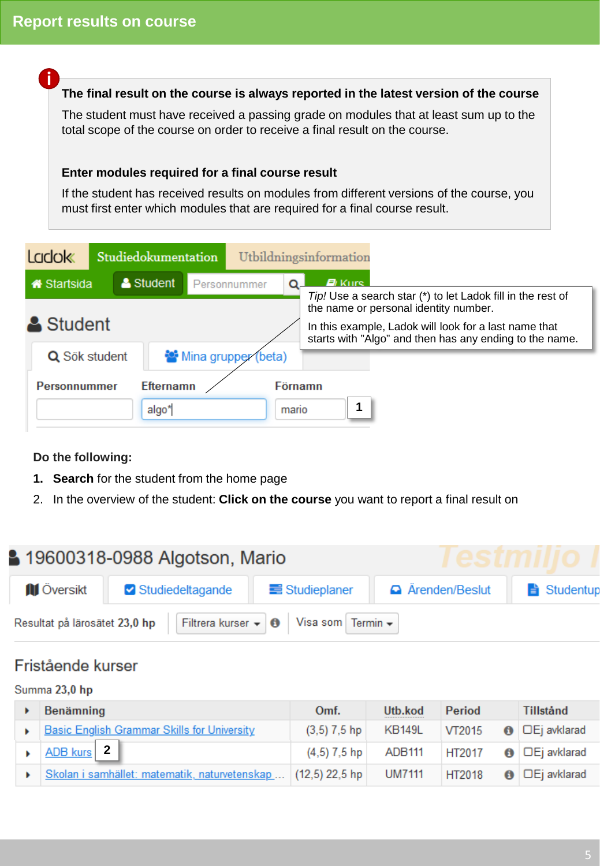<span id="page-4-0"></span>**i**

**The final result on the course is always reported in the latest version of the course**

The student must have received a passing grade on modules that at least sum up to the total scope of the course on order to receive a final result on the course.

#### **Enter modules required for a final course result**

If the student has received results on modules from different versions of the course, you must first enter which modules that are required for a final course result.

| <b>Ladok</b>        | Studiedokumentation |                           |              |                     |                  | Utbildningsinformation                                                                                                                                    |
|---------------------|---------------------|---------------------------|--------------|---------------------|------------------|-----------------------------------------------------------------------------------------------------------------------------------------------------------|
| <b>K</b> Startsida  |                     | Student                   | Personnummer |                     |                  | <i><b>E</b></i> Kurs<br>Tip! Use a search star (*) to let Ladok fill in the rest of                                                                       |
| Student             |                     |                           |              |                     |                  | the name or personal identity number.<br>In this example, Ladok will look for a last name that<br>starts with "Algo" and then has any ending to the name. |
| Q Sök student       |                     |                           |              | Mina grupper (beta) |                  |                                                                                                                                                           |
| <b>Personnummer</b> |                     | <b>Efternamn</b><br>algo* |              |                     | Förnamn<br>mario |                                                                                                                                                           |

#### **Do the following:**

- **1. Search** for the student from the home page
- 2. In the overview of the student: **Click on the course** you want to report a final result on



## Fristående kurser

#### Summa 23,0 hp

| Benämning                                                     | Omf.           | Utb.kod       | <b>Period</b> | <b>Tillstånd</b>                   |
|---------------------------------------------------------------|----------------|---------------|---------------|------------------------------------|
| <b>Basic English Grammar Skills for University</b>            | $(3,5)$ 7,5 hp | <b>KB149L</b> | VT2015        | $\bigcirc$ $\Box$ Ej avklarad      |
| ADB kurs 2                                                    | $(4,5)$ 7.5 hp | ADB111        | HT2017        | $\bigcirc$ $\bigcirc$ $E$ avklarad |
| Skolan i samhället: matematik, naturvetenskap  (12,5) 22,5 hp |                | <b>UM7111</b> | <b>HT2018</b> | $\bigcirc$ $\Box$ Ej avklarad      |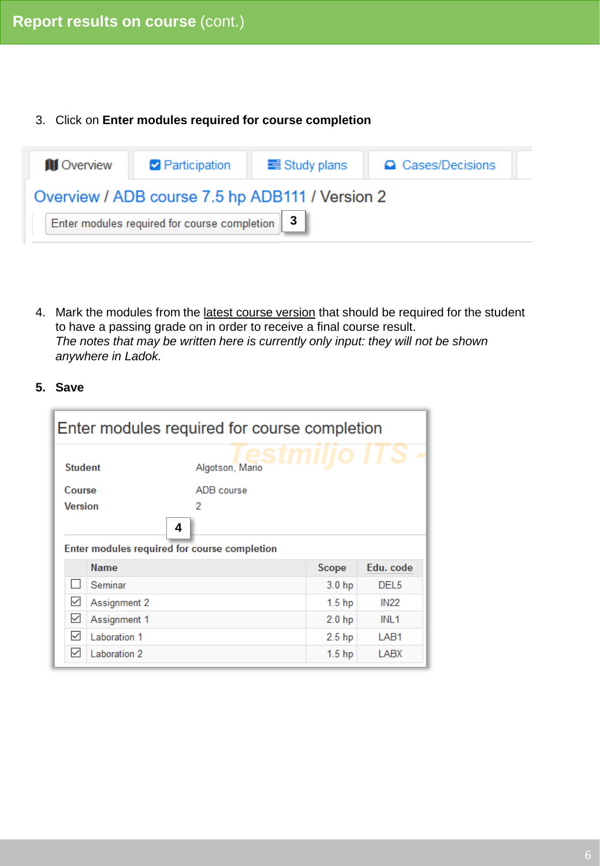#### 3. Click on **Enter modules required for course completion**

| <b>III</b> Overview | <b>Participation</b>                             | $\equiv$ Study plans | △ Cases/Decisions |  |  |  |  |  |  |  |
|---------------------|--------------------------------------------------|----------------------|-------------------|--|--|--|--|--|--|--|
|                     | Overview / ADB course 7.5 hp ADB111 / Version 2  |                      |                   |  |  |  |  |  |  |  |
|                     | Enter modules required for course completion   3 |                      |                   |  |  |  |  |  |  |  |

4. Mark the modules from the latest course version that should be required for the student to have a passing grade on in order to receive a final course result. *The notes that may be written here is currently only input: they will not be shown anywhere in Ladok.*

#### **5. Save**

|                | Enter modules required for course completion      |                 |                   |                  |  |  |  |  |
|----------------|---------------------------------------------------|-----------------|-------------------|------------------|--|--|--|--|
| <b>Student</b> |                                                   | Algotson, Mario |                   | ÷                |  |  |  |  |
| Course         |                                                   | ADB course      |                   |                  |  |  |  |  |
| <b>Version</b> |                                                   | 2               |                   |                  |  |  |  |  |
|                | 4<br>Enter modules required for course completion |                 |                   |                  |  |  |  |  |
|                | Name                                              |                 | Scope             | Edu. code        |  |  |  |  |
|                | Seminar                                           |                 | 3.0 <sub>hp</sub> | DEL <sub>5</sub> |  |  |  |  |
| ⊻              | Assignment 2                                      |                 | 1.5 <sub>hp</sub> | <b>IN22</b>      |  |  |  |  |
| $\checkmark$   | Assignment 1                                      |                 | 2.0 <sub>hp</sub> | INL <sub>1</sub> |  |  |  |  |
| $\checkmark$   | Laboration 1                                      |                 | 2.5 <sub>hp</sub> | LAB <sub>1</sub> |  |  |  |  |
| $\checkmark$   | Laboration 2                                      |                 | 1.5 <sub>hp</sub> | LABX             |  |  |  |  |